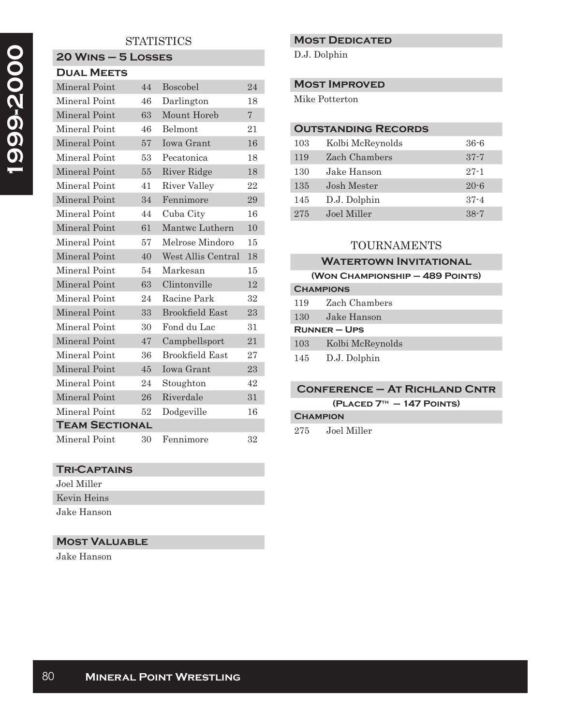# **STATISTICS**

### **20 Wins – 5 Losses Dual Meets**

| Mineral Point         |  | 44 | Boscobel               | 24             |  |
|-----------------------|--|----|------------------------|----------------|--|
| Mineral Point         |  | 46 | Darlington             | 18             |  |
| Mineral Point         |  | 63 | Mount Horeb            | $\overline{7}$ |  |
| Mineral Point         |  | 46 | Belmont                | 21             |  |
| Mineral Point         |  | 57 | <b>Iowa Grant</b>      | 16             |  |
| Mineral Point         |  | 53 | Pecatonica             | 18             |  |
| Mineral Point         |  | 55 | River Ridge            | 18             |  |
| Mineral Point         |  | 41 | River Valley           | 22             |  |
| Mineral Point         |  | 34 | Fennimore              | 29             |  |
| Mineral Point         |  | 44 | Cuba City              | 16             |  |
| Mineral Point         |  | 61 | Mantwc Luthern         | 10             |  |
| Mineral Point         |  | 57 | Melrose Mindoro        | 15             |  |
| Mineral Point         |  | 40 | West Allis Central     | 18             |  |
| Mineral Point         |  | 54 | Markesan               | 15             |  |
| Mineral Point         |  | 63 | Clintonville           | 12             |  |
| Mineral Point         |  | 24 | Racine Park            | 32             |  |
| Mineral Point         |  | 33 | <b>Brookfield East</b> | 23             |  |
| Mineral Point         |  | 30 | Fond du Lac            | 31             |  |
| <b>Mineral Point</b>  |  | 47 | Campbellsport          | 21             |  |
| Mineral Point         |  | 36 | <b>Brookfield East</b> | 27             |  |
| Mineral Point         |  | 45 | <b>Iowa Grant</b>      | 23             |  |
| Mineral Point         |  | 24 | Stoughton              | 42             |  |
| Mineral Point         |  | 26 | Riverdale              | 31             |  |
| Mineral Point         |  | 52 | Dodgeville             | 16             |  |
| <b>TEAM SECTIONAL</b> |  |    |                        |                |  |
| Mineral Point         |  | 30 | Fennimore              | 32             |  |

# **Tri-Captains**

- Joel Miller
- Kevin Heins

Jake Hanson

# **Most Valuable**

Jake Hanson

### **Most Dedicated**

D.J. Dolphin

### **Most Improved**

Mike Potterton

### **Outstanding Records**

| 103 | Kolbi McReynolds | $36 - 6$ |
|-----|------------------|----------|
| 119 | Zach Chambers    | $37 - 7$ |
| 130 | Jake Hanson      | $27 - 1$ |
| 135 | Josh Mester      | $20 - 6$ |
| 145 | D.J. Dolphin     | $37 - 4$ |
| 275 | Joel Miller      | $38 - 7$ |

# TOURNAMENTS

### **Watertown Invitational**

#### **(Won Championship – 489 Points)**

| <b>CHAMPIONS</b>  |                  |  |
|-------------------|------------------|--|
| 119               | Zach Chambers    |  |
| 130               | Jake Hanson      |  |
| <b>RUNNER-UPS</b> |                  |  |
| 103               | Kolbi McReynolds |  |
| 145               | D.J. Dolphin     |  |
|                   |                  |  |

### **Conference – At Richland Cntr**

**(Placed 7th – 147 Points)**

### **Champion**

275 Joel Miller